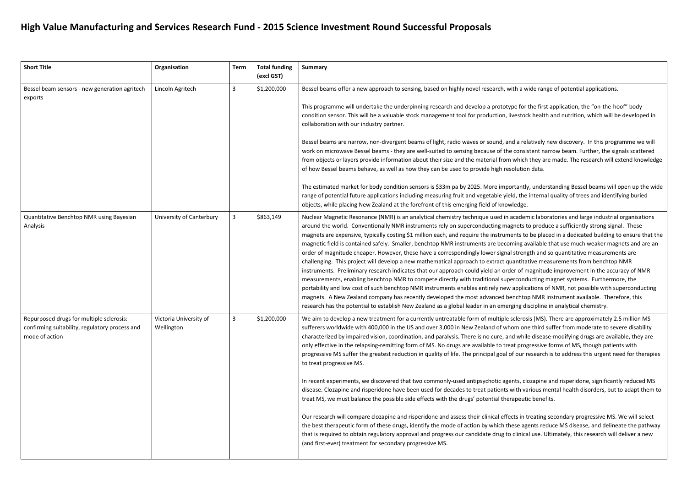## **High Value Manufacturing and Services Research Fund - 2015 Science Investment Round Successful Proposals**

| <b>Short Title</b>                                                                                           | Organisation                         | <b>Term</b> | <b>Total funding</b><br>(excl GST) | <b>Summary</b>                                                                                                                                                                                                                                                                                                                                                                                                                                                                                                                                                                                                                                                                                                                                                                                                                                                                                                                                                                                                                                                                                                                                                                                               |
|--------------------------------------------------------------------------------------------------------------|--------------------------------------|-------------|------------------------------------|--------------------------------------------------------------------------------------------------------------------------------------------------------------------------------------------------------------------------------------------------------------------------------------------------------------------------------------------------------------------------------------------------------------------------------------------------------------------------------------------------------------------------------------------------------------------------------------------------------------------------------------------------------------------------------------------------------------------------------------------------------------------------------------------------------------------------------------------------------------------------------------------------------------------------------------------------------------------------------------------------------------------------------------------------------------------------------------------------------------------------------------------------------------------------------------------------------------|
| Bessel beam sensors - new generation agritech<br>exports                                                     | Lincoln Agritech                     | 3           | \$1,200,000                        | Bessel beams offer a new approach to sensing, based on highly novel research, with a wide rai<br>This programme will undertake the underpinning research and develop a prototype for the fir<br>condition sensor. This will be a valuable stock management tool for production, livestock heal<br>collaboration with our industry partner.<br>Bessel beams are narrow, non-divergent beams of light, radio waves or sound, and a relatively<br>work on microwave Bessel beams - they are well-suited to sensing because of the consistent r<br>from objects or layers provide information about their size and the material from which they a<br>of how Bessel beams behave, as well as how they can be used to provide high resolution data.<br>The estimated market for body condition sensors is \$33m pa by 2025. More importantly, unde<br>range of potential future applications including measuring fruit and vegetable yield, the intern<br>objects, while placing New Zealand at the forefront of this emerging field of knowledge.                                                                                                                                                                 |
| Quantitative Benchtop NMR using Bayesian<br>Analysis                                                         | University of Canterbury             | 3           | \$863,149                          | Nuclear Magnetic Resonance (NMR) is an analytical chemistry technique used in academic lab<br>around the world. Conventionally NMR instruments rely on superconducting magnets to proc<br>magnets are expensive, typically costing \$1 million each, and require the instruments to be pla<br>magnetic field is contained safely. Smaller, benchtop NMR instruments are becoming availabl<br>order of magnitude cheaper. However, these have a correspondingly lower signal strength and<br>challenging. This project will develop a new mathematical approach to extract quantitative m<br>instruments. Preliminary research indicates that our approach could yield an order of magnitu<br>measurements, enabling benchtop NMR to compete directly with traditional superconducting<br>portability and low cost of such benchtop NMR instruments enables entirely new applications<br>magnets. A New Zealand company has recently developed the most advanced benchtop NMF<br>research has the potential to establish New Zealand as a global leader in an emerging disciplin                                                                                                                              |
| Repurposed drugs for multiple sclerosis:<br>confirming suitability, regulatory process and<br>mode of action | Victoria University of<br>Wellington | 3           | \$1,200,000                        | We aim to develop a new treatment for a currently untreatable form of multiple sclerosis (MS<br>sufferers worldwide with 400,000 in the US and over 3,000 in New Zealand of whom one third<br>characterized by impaired vision, coordination, and paralysis. There is no cure, and while disea<br>only effective in the relapsing-remitting form of MS. No drugs are available to treat progressiv<br>progressive MS suffer the greatest reduction in quality of life. The principal goal of our researc<br>to treat progressive MS.<br>In recent experiments, we discovered that two commonly-used antipsychotic agents, clozapin<br>disease. Clozapine and risperidone have been used for decades to treat patients with various i<br>treat MS, we must balance the possible side effects with the drugs' potential therapeutic bene<br>Our research will compare clozapine and risperidone and assess their clinical effects in treating<br>the best therapeutic form of these drugs, identify the mode of action by which these agents re<br>that is required to obtain regulatory approval and progress our candidate drug to clinical use.<br>(and first-ever) treatment for secondary progressive MS. |

i a wide range of potential applications.

the first application, the "on-the-hoof" body estock health and nutrition, which will be developed in

a relatively new discovery. In this programme we will consistent narrow beam. Further, the signals scattered hich they are made. The research will extend knowledge

antly, understanding Bessel beams will open up the wide the internal quality of trees and identifying buried

ademic laboratories and large industrial organisations ets to produce a sufficiently strong signal. These ts to be placed in a dedicated building to ensure that the ng available that use much weaker magnets and are an trength and so quantitative measurements are ntitative measurements from benchtop NMR of magnitude improvement in the accuracy of NMR conducting magnet systems. Furthermore, the pplications of NMR, not possible with superconducting chtop NMR instrument available. Therefore, this ng discipline in analytical chemistry.

lerosis (MS). There are approximately 2.5 million MS n one third suffer from moderate to severe disability while disease-modifying drugs are available, they are progressive forms of MS, though patients with pur research is to address this urgent need for therapies

ts, clozapine and risperidone, significantly reduced MS th various mental health disorders, but to adapt them to beutic benefits.

s in treating secondary progressive MS. We will select te agents reduce MS disease, and delineate the pathway inical use. Ultimately, this research will deliver a new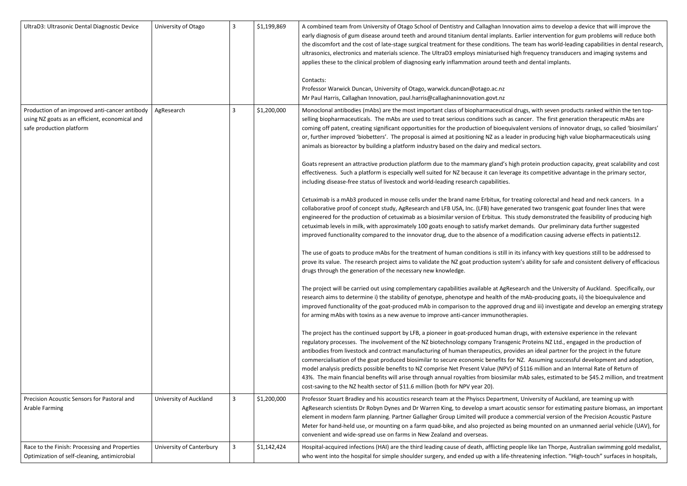| UltraD3: Ultrasonic Dental Diagnostic Device                                                                                                                                                         | University of Otago                  | 3 | \$1,199,869                | A combined team from University of Otago School of Dentistry and Callaghan Innovation aim<br>early diagnosis of gum disease around teeth and around titanium dental implants. Earlier inte<br>the discomfort and the cost of late-stage surgical treatment for these conditions. The team h<br>ultrasonics, electronics and materials science. The UltraD3 employs miniaturised high freque<br>applies these to the clinical problem of diagnosing early inflammation around teeth and dent<br>Contacts:<br>Professor Warwick Duncan, University of Otago, warwick.duncan@otago.ac.nz<br>Mr Paul Harris, Callaghan Innovation, paul.harris@callaghaninnovation.govt.nz                                                                                                                                                                                                                                                                                                                                                                                                                                                                                                                                                                                                                                                                                                                                                                                                                                                                                                                                                                                                                                                                                                                                                                                                                                                                                                                                                                                                                                                                                                                                                                                                                                                                                                                                                                                                                                                                                                                                                                                                                                                                                                                                          |
|------------------------------------------------------------------------------------------------------------------------------------------------------------------------------------------------------|--------------------------------------|---|----------------------------|-----------------------------------------------------------------------------------------------------------------------------------------------------------------------------------------------------------------------------------------------------------------------------------------------------------------------------------------------------------------------------------------------------------------------------------------------------------------------------------------------------------------------------------------------------------------------------------------------------------------------------------------------------------------------------------------------------------------------------------------------------------------------------------------------------------------------------------------------------------------------------------------------------------------------------------------------------------------------------------------------------------------------------------------------------------------------------------------------------------------------------------------------------------------------------------------------------------------------------------------------------------------------------------------------------------------------------------------------------------------------------------------------------------------------------------------------------------------------------------------------------------------------------------------------------------------------------------------------------------------------------------------------------------------------------------------------------------------------------------------------------------------------------------------------------------------------------------------------------------------------------------------------------------------------------------------------------------------------------------------------------------------------------------------------------------------------------------------------------------------------------------------------------------------------------------------------------------------------------------------------------------------------------------------------------------------------------------------------------------------------------------------------------------------------------------------------------------------------------------------------------------------------------------------------------------------------------------------------------------------------------------------------------------------------------------------------------------------------------------------------------------------------------------------------------------------|
| Production of an improved anti-cancer antibody<br>using NZ goats as an efficient, economical and<br>safe production platform<br>Precision Acoustic Sensors for Pastoral and<br><b>Arable Farming</b> | AgResearch<br>University of Auckland | 3 | \$1,200,000<br>\$1,200,000 | Monoclonal antibodies (mAbs) are the most important class of biopharmaceutical drugs, wit<br>selling biopharmaceuticals. The mAbs are used to treat serious conditions such as cancer. Th<br>coming off patent, creating significant opportunities for the production of bioequivalent vers<br>or, further improved 'biobetters'. The proposal is aimed at positioning NZ as a leader in prod<br>animals as bioreactor by building a platform industry based on the dairy and medical sectors.<br>Goats represent an attractive production platform due to the mammary gland's high protein<br>effectiveness. Such a platform is especially well suited for NZ because it can leverage its com<br>including disease-free status of livestock and world-leading research capabilities.<br>Cetuximab is a mAb3 produced in mouse cells under the brand name Erbitux, for treating col<br>collaborative proof of concept study, AgResearch and LFB USA, Inc. (LFB) have generated two<br>engineered for the production of cetuximab as a biosimilar version of Erbitux. This study der<br>cetuximab levels in milk, with approximately 100 goats enough to satisfy market demands. C<br>improved functionality compared to the innovator drug, due to the absence of a modification<br>The use of goats to produce mAbs for the treatment of human conditions is still in its infancy<br>prove its value. The research project aims to validate the NZ goat production system's ability<br>drugs through the generation of the necessary new knowledge.<br>The project will be carried out using complementary capabilities available at AgResearch and<br>research aims to determine i) the stability of genotype, phenotype and health of the mAb-pro<br>improved functionality of the goat-produced mAb in comparison to the approved drug and ii<br>for arming mAbs with toxins as a new avenue to improve anti-cancer immunotherapies.<br>The project has the continued support by LFB, a pioneer in goat-produced human drugs, with<br>regulatory processes. The involvement of the NZ biotechnology company Transgenic Protein<br>antibodies from livestock and contract manufacturing of human therapeutics, provides an ide<br>commercialisation of the goat produced biosimilar to secure economic benefits for NZ. Assur<br>model analysis predicts possible benefits to NZ comprise Net Present Value (NPV) of \$116 mi<br>43%. The main financial benefits will arise through annual royalties from biosimilar mAb sale<br>cost-saving to the NZ health sector of \$11.6 million (both for NPV year 20).<br>Professor Stuart Bradley and his acoustics research team at the Phyiscs Department, Univers<br>AgResearch scientists Dr Robyn Dynes and Dr Warren King, to develop a smart acoustic sense |
|                                                                                                                                                                                                      |                                      |   |                            | element in modern farm planning. Partner Gallagher Group Limited will produce a commerci<br>Meter for hand-held use, or mounting on a farm quad-bike, and also projected as being mou<br>convenient and wide-spread use on farms in New Zealand and overseas.                                                                                                                                                                                                                                                                                                                                                                                                                                                                                                                                                                                                                                                                                                                                                                                                                                                                                                                                                                                                                                                                                                                                                                                                                                                                                                                                                                                                                                                                                                                                                                                                                                                                                                                                                                                                                                                                                                                                                                                                                                                                                                                                                                                                                                                                                                                                                                                                                                                                                                                                                   |
| Race to the Finish: Processing and Properties<br>Optimization of self-cleaning, antimicrobial                                                                                                        | University of Canterbury             |   | \$1,142,424                | Hospital-acquired infections (HAI) are the third leading cause of death, afflicting people like I<br>who went into the hospital for simple shoulder surgery, and ended up with a life-threatening                                                                                                                                                                                                                                                                                                                                                                                                                                                                                                                                                                                                                                                                                                                                                                                                                                                                                                                                                                                                                                                                                                                                                                                                                                                                                                                                                                                                                                                                                                                                                                                                                                                                                                                                                                                                                                                                                                                                                                                                                                                                                                                                                                                                                                                                                                                                                                                                                                                                                                                                                                                                               |

ation aims to develop a device that will improve the arlier intervention for gum problems will reduce both te team has world-leading capabilities in dental research, gh frequency transducers and imaging systems and and dental implants.

Irugs, with seven products ranked within the ten topcancer. The first generation therapeutic mAbs are alent versions of innovator drugs, so called 'biosimilars' er in producing high value biopharmaceuticals using

h protein production capacity, great scalability and cost ge its competitive advantage in the primary sector,

eating colorectal and head and neck cancers. In a rated two transgenic goat founder lines that were study demonstrated the feasibility of producing high mands. Our preliminary data further suggested odification causing adverse effects in patients12.

ts infancy with key questions still to be addressed to m's ability for safe and consistent delivery of efficacious

earch and the University of Auckland. Specifically, our e mAb-producing goats, ii) the bioequivalence and rug and iii) investigate and develop an emerging strategy

rugs, with extensive experience in the relevant ic Proteins NZ Ltd., engaged in the production of des an ideal partner for the project in the future NZ. Assuming successful development and adoption, f \$116 million and an Internal Rate of Return of mAb sales, estimated to be \$45.2 million, and treatment

t, University of Auckland, are teaming up with Istic sensor for estimating pasture biomass, an important commercial version of the Precision Acoustic Pasture eing mounted on an unmanned aerial vehicle (UAV), for

ople like Ian Thorpe, Australian swimming gold medalist, reatening infection. "High-touch" surfaces in hospitals,